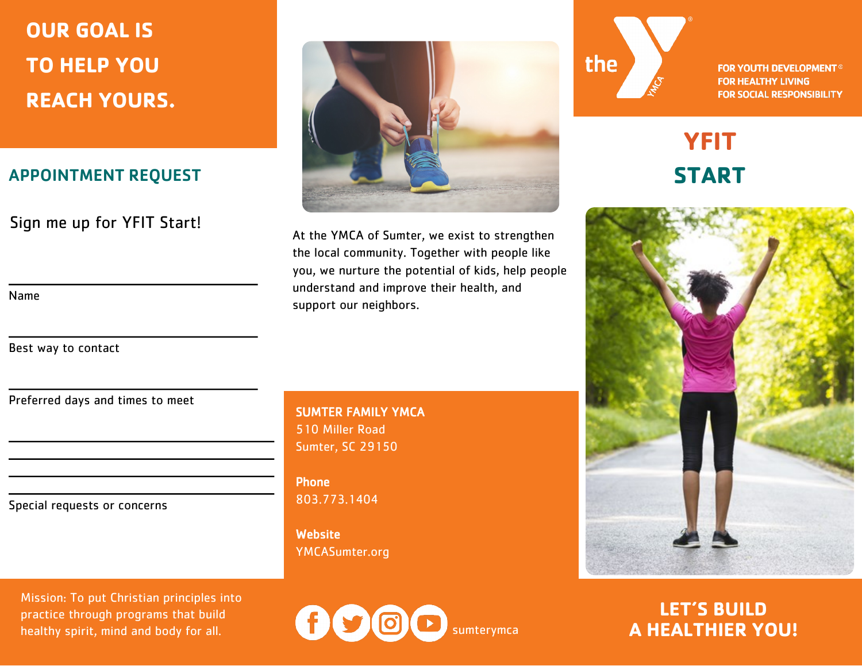## **OUR GOAL IS TO HELP YOU REACH YOURS.**

### APPOINTMENT REQUEST

Sign me up for YFIT Start!

Name

Best way to contact



At the YMCA of Sumter, we exist to strengthen the local community. Together with people like you, we nurture the potential of kids, help people understand and improve their health, and support our neighbors.

Preferred days and times to meet

Special requests or concerns

Mission: To put Christian principles into practice through programs that build healthy spirit, mind and body for all.

#### SUMTER FAMILY YMCA 510 Miller Road Sumter, SC 29150

Phone 803.773.1404

**Website** YMCASumter.org

 $\boxed{0}$ sumterymca



**FOR YOUTH DEVELOPMENT® FOR HEALTHY LIVING FOR SOCIAL RESPONSIBILITY** 

### **YFIT START**



**LET'S BUILD A HEALTHIER YOU!**